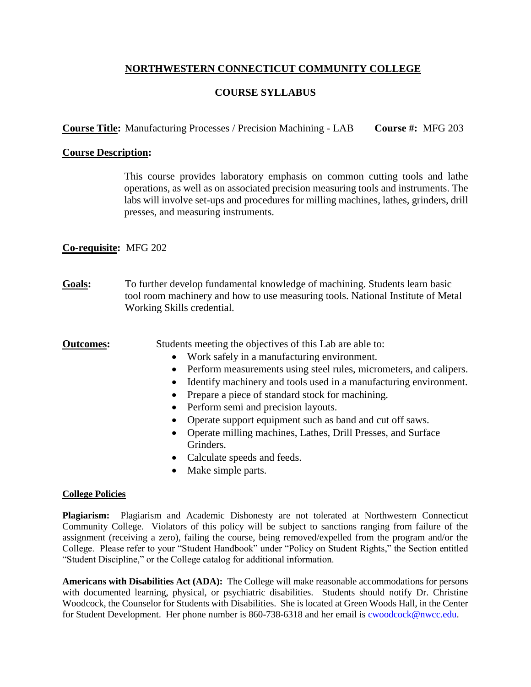# **NORTHWESTERN CONNECTICUT COMMUNITY COLLEGE**

# **COURSE SYLLABUS**

**Course Title:** Manufacturing Processes / Precision Machining - LAB **Course #:** MFG 203

### **Course Description:**

This course provides laboratory emphasis on common cutting tools and lathe operations, as well as on associated precision measuring tools and instruments. The labs will involve set-ups and procedures for milling machines, lathes, grinders, drill presses, and measuring instruments.

## **Co-requisite:** MFG 202

**Goals:** To further develop fundamental knowledge of machining. Students learn basic tool room machinery and how to use measuring tools. National Institute of Metal Working Skills credential.

**Outcomes:** Students meeting the objectives of this Lab are able to:

- Work safely in a manufacturing environment.
- Perform measurements using steel rules, micrometers, and calipers.
- Identify machinery and tools used in a manufacturing environment.
- Prepare a piece of standard stock for machining.
- Perform semi and precision layouts.
- Operate support equipment such as band and cut off saws.
- Operate milling machines, Lathes, Drill Presses, and Surface Grinders.
- Calculate speeds and feeds.
- Make simple parts.

#### **College Policies**

**Plagiarism:** Plagiarism and Academic Dishonesty are not tolerated at Northwestern Connecticut Community College. Violators of this policy will be subject to sanctions ranging from failure of the assignment (receiving a zero), failing the course, being removed/expelled from the program and/or the College. Please refer to your "Student Handbook" under "Policy on Student Rights," the Section entitled "Student Discipline," or the College catalog for additional information.

**Americans with Disabilities Act (ADA):** The College will make reasonable accommodations for persons with documented learning, physical, or psychiatric disabilities. Students should notify Dr. Christine Woodcock, the Counselor for Students with Disabilities. She is located at Green Woods Hall, in the Center for Student Development. Her phone number is 860-738-6318 and her email is [cwoodcock@nwcc.edu.](mailto:cwoodcock@nwcc.edu)